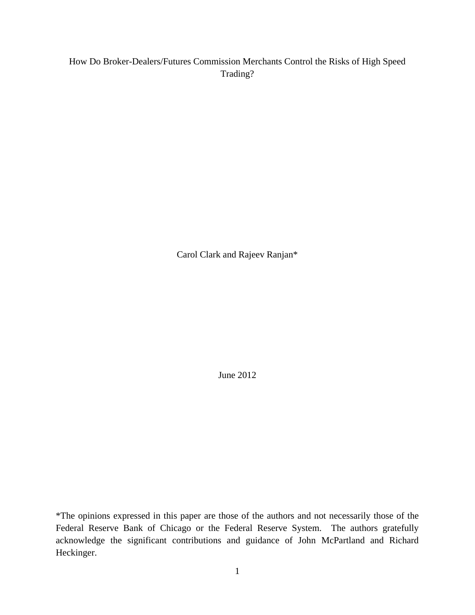#### How Do Broker-Dealers/Futures Commission Merchants Control the Risks of High Speed Trading?

Carol Clark and Rajeev Ranjan\*

June 2012

\*The opinions expressed in this paper are those of the authors and not necessarily those of the Federal Reserve Bank of Chicago or the Federal Reserve System. The authors gratefully acknowledge the significant contributions and guidance of John McPartland and Richard Heckinger.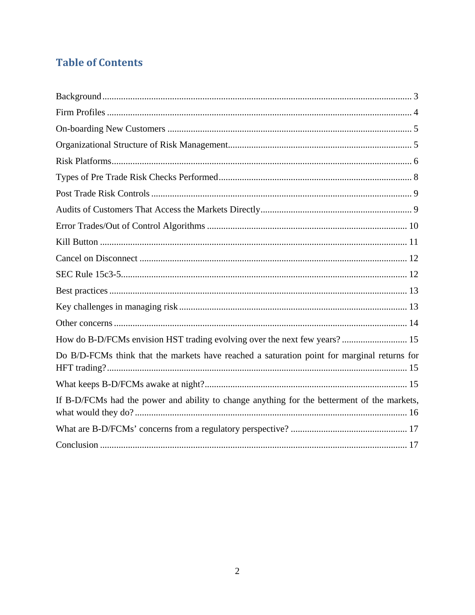# **Table of Contents**

| How do B-D/FCMs envision HST trading evolving over the next few years? 15                   |
|---------------------------------------------------------------------------------------------|
| Do B/D-FCMs think that the markets have reached a saturation point for marginal returns for |
|                                                                                             |
| If B-D/FCMs had the power and ability to change anything for the betterment of the markets, |
|                                                                                             |
|                                                                                             |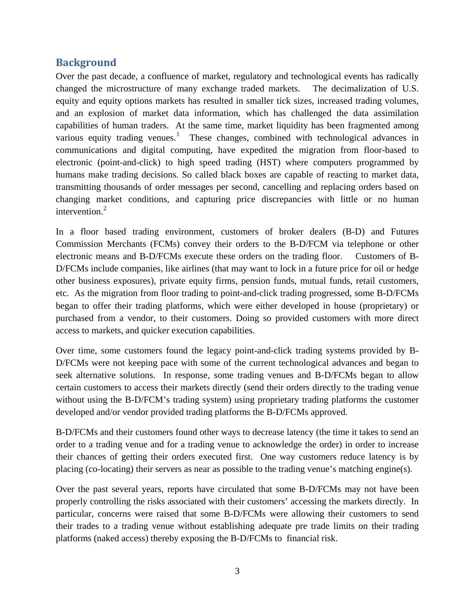#### <span id="page-2-0"></span>**Background**

Over the past decade, a confluence of market, regulatory and technological events has radically changed the microstructure of many exchange traded markets. The decimalization of U.S. equity and equity options markets has resulted in smaller tick sizes, increased trading volumes, and an explosion of market data information, which has challenged the data assimilation capabilities of human traders. At the same time, market liquidity has been fragmented among various equity trading venues.<sup>[1](#page-19-0)</sup> These changes, combined with technological advances in communications and digital computing, have expedited the migration from floor-based to electronic (point-and-click) to high speed trading (HST) where computers programmed by humans make trading decisions. So called black boxes are capable of reacting to market data, transmitting thousands of order messages per second, cancelling and replacing orders based on changing market conditions, and capturing price discrepancies with little or no human intervention.<sup>[2](#page-19-1)</sup>

In a floor based trading environment, customers of broker dealers (B-D) and Futures Commission Merchants (FCMs) convey their orders to the B-D/FCM via telephone or other electronic means and B-D/FCMs execute these orders on the trading floor. Customers of B-D/FCMs include companies, like airlines (that may want to lock in a future price for oil or hedge other business exposures), private equity firms, pension funds, mutual funds, retail customers, etc. As the migration from floor trading to point-and-click trading progressed, some B-D/FCMs began to offer their trading platforms, which were either developed in house (proprietary) or purchased from a vendor, to their customers. Doing so provided customers with more direct access to markets, and quicker execution capabilities.

Over time, some customers found the legacy point-and-click trading systems provided by B-D/FCMs were not keeping pace with some of the current technological advances and began to seek alternative solutions. In response, some trading venues and B-D/FCMs began to allow certain customers to access their markets directly (send their orders directly to the trading venue without using the B-D/FCM's trading system) using proprietary trading platforms the customer developed and/or vendor provided trading platforms the B-D/FCMs approved.

B-D/FCMs and their customers found other ways to decrease latency (the time it takes to send an order to a trading venue and for a trading venue to acknowledge the order) in order to increase their chances of getting their orders executed first. One way customers reduce latency is by placing (co-locating) their servers as near as possible to the trading venue's matching engine(s).

Over the past several years, reports have circulated that some B-D/FCMs may not have been properly controlling the risks associated with their customers' accessing the markets directly. In particular, concerns were raised that some B-D/FCMs were allowing their customers to send their trades to a trading venue without establishing adequate pre trade limits on their trading platforms (naked access) thereby exposing the B-D/FCMs to financial risk.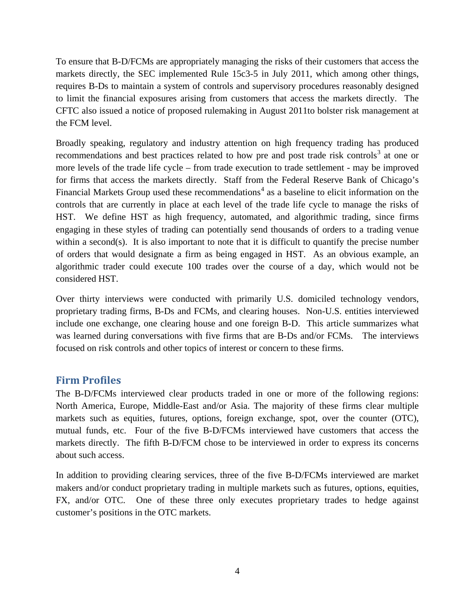To ensure that B-D/FCMs are appropriately managing the risks of their customers that access the markets directly, the SEC implemented Rule 15c3-5 in July 2011, which among other things, requires B-Ds to maintain a system of controls and supervisory procedures reasonably designed to limit the financial exposures arising from customers that access the markets directly. The CFTC also issued a notice of proposed rulemaking in August 2011to bolster risk management at the FCM level.

Broadly speaking, regulatory and industry attention on high frequency trading has produced recommendations and best practices related to how pre and post trade risk controls<sup>[3](#page-19-2)</sup> at one or more levels of the trade life cycle – from trade execution to trade settlement - may be improved for firms that access the markets directly. Staff from the Federal Reserve Bank of Chicago's Financial Markets Group used these recommendations<sup>[4](#page-19-3)</sup> as a baseline to elicit information on the controls that are currently in place at each level of the trade life cycle to manage the risks of HST. We define HST as high frequency, automated, and algorithmic trading, since firms engaging in these styles of trading can potentially send thousands of orders to a trading venue within a second(s). It is also important to note that it is difficult to quantify the precise number of orders that would designate a firm as being engaged in HST. As an obvious example, an algorithmic trader could execute 100 trades over the course of a day, which would not be considered HST.

Over thirty interviews were conducted with primarily U.S. domiciled technology vendors, proprietary trading firms, B-Ds and FCMs, and clearing houses. Non-U.S. entities interviewed include one exchange, one clearing house and one foreign B-D. This article summarizes what was learned during conversations with five firms that are B-Ds and/or FCMs. The interviews focused on risk controls and other topics of interest or concern to these firms.

#### <span id="page-3-0"></span>**Firm Profiles**

The B-D/FCMs interviewed clear products traded in one or more of the following regions: North America, Europe, Middle-East and/or Asia. The majority of these firms clear multiple markets such as equities, futures, options, foreign exchange, spot, over the counter (OTC), mutual funds, etc. Four of the five B-D/FCMs interviewed have customers that access the markets directly. The fifth B-D/FCM chose to be interviewed in order to express its concerns about such access.

In addition to providing clearing services, three of the five B-D/FCMs interviewed are market makers and/or conduct proprietary trading in multiple markets such as futures, options, equities, FX, and/or OTC. One of these three only executes proprietary trades to hedge against customer's positions in the OTC markets.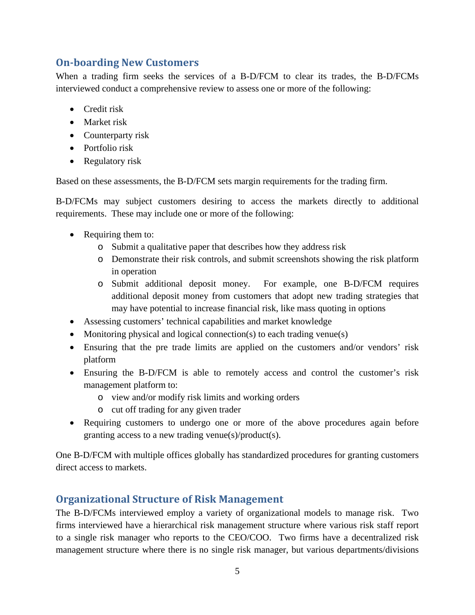### <span id="page-4-0"></span>**On-boarding New Customers**

When a trading firm seeks the services of a B-D/FCM to clear its trades, the B-D/FCMs interviewed conduct a comprehensive review to assess one or more of the following:

- Credit risk
- Market risk
- Counterparty risk
- Portfolio risk
- Regulatory risk

Based on these assessments, the B-D/FCM sets margin requirements for the trading firm.

B-D/FCMs may subject customers desiring to access the markets directly to additional requirements. These may include one or more of the following:

- Requiring them to:
	- o Submit a qualitative paper that describes how they address risk
	- o Demonstrate their risk controls, and submit screenshots showing the risk platform in operation
	- o Submit additional deposit money. For example, one B-D/FCM requires additional deposit money from customers that adopt new trading strategies that may have potential to increase financial risk, like mass quoting in options
- Assessing customers' technical capabilities and market knowledge
- Monitoring physical and logical connection(s) to each trading venue(s)
- Ensuring that the pre trade limits are applied on the customers and/or vendors' risk platform
- Ensuring the B-D/FCM is able to remotely access and control the customer's risk management platform to:
	- o view and/or modify risk limits and working orders
	- o cut off trading for any given trader
- Requiring customers to undergo one or more of the above procedures again before granting access to a new trading venue(s)/product(s).

One B-D/FCM with multiple offices globally has standardized procedures for granting customers direct access to markets.

### <span id="page-4-1"></span>**Organizational Structure of Risk Management**

The B-D/FCMs interviewed employ a variety of organizational models to manage risk. Two firms interviewed have a hierarchical risk management structure where various risk staff report to a single risk manager who reports to the CEO/COO. Two firms have a decentralized risk management structure where there is no single risk manager, but various departments/divisions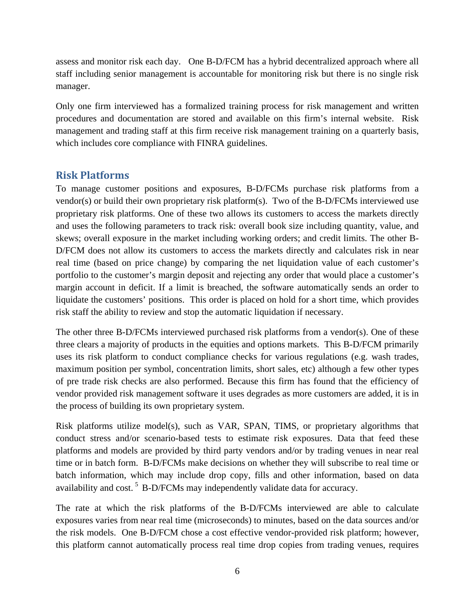assess and monitor risk each day. One B-D/FCM has a hybrid decentralized approach where all staff including senior management is accountable for monitoring risk but there is no single risk manager.

Only one firm interviewed has a formalized training process for risk management and written procedures and documentation are stored and available on this firm's internal website. Risk management and trading staff at this firm receive risk management training on a quarterly basis, which includes core compliance with FINRA guidelines.

#### <span id="page-5-0"></span>**Risk Platforms**

To manage customer positions and exposures, B-D/FCMs purchase risk platforms from a vendor(s) or build their own proprietary risk platform(s). Two of the B-D/FCMs interviewed use proprietary risk platforms. One of these two allows its customers to access the markets directly and uses the following parameters to track risk: overall book size including quantity, value, and skews; overall exposure in the market including working orders; and credit limits. The other B-D/FCM does not allow its customers to access the markets directly and calculates risk in near real time (based on price change) by comparing the net liquidation value of each customer's portfolio to the customer's margin deposit and rejecting any order that would place a customer's margin account in deficit. If a limit is breached, the software automatically sends an order to liquidate the customers' positions. This order is placed on hold for a short time, which provides risk staff the ability to review and stop the automatic liquidation if necessary.

The other three B-D/FCMs interviewed purchased risk platforms from a vendor(s). One of these three clears a majority of products in the equities and options markets. This B-D/FCM primarily uses its risk platform to conduct compliance checks for various regulations (e.g. wash trades, maximum position per symbol, concentration limits, short sales, etc) although a few other types of pre trade risk checks are also performed. Because this firm has found that the efficiency of vendor provided risk management software it uses degrades as more customers are added, it is in the process of building its own proprietary system.

Risk platforms utilize model(s), such as VAR, SPAN, TIMS, or proprietary algorithms that conduct stress and/or scenario-based tests to estimate risk exposures. Data that feed these platforms and models are provided by third party vendors and/or by trading venues in near real time or in batch form. B-D/FCMs make decisions on whether they will subscribe to real time or batch information, which may include drop copy, fills and other information, based on data availability and cost.<sup>[5](#page-19-4)</sup> B-D/FCMs may independently validate data for accuracy.

The rate at which the risk platforms of the B-D/FCMs interviewed are able to calculate exposures varies from near real time (microseconds) to minutes, based on the data sources and/or the risk models. One B-D/FCM chose a cost effective vendor-provided risk platform; however, this platform cannot automatically process real time drop copies from trading venues, requires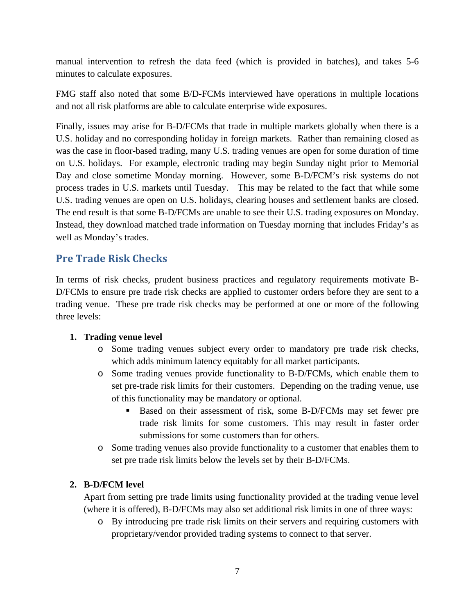manual intervention to refresh the data feed (which is provided in batches), and takes 5-6 minutes to calculate exposures.

FMG staff also noted that some B/D-FCMs interviewed have operations in multiple locations and not all risk platforms are able to calculate enterprise wide exposures.

Finally, issues may arise for B-D/FCMs that trade in multiple markets globally when there is a U.S. holiday and no corresponding holiday in foreign markets. Rather than remaining closed as was the case in floor-based trading, many U.S. trading venues are open for some duration of time on U.S. holidays. For example, electronic trading may begin Sunday night prior to Memorial Day and close sometime Monday morning. However, some B-D/FCM's risk systems do not process trades in U.S. markets until Tuesday. This may be related to the fact that while some U.S. trading venues are open on U.S. holidays, clearing houses and settlement banks are closed. The end result is that some B-D/FCMs are unable to see their U.S. trading exposures on Monday. Instead, they download matched trade information on Tuesday morning that includes Friday's as well as Monday's trades.

#### **Pre Trade Risk Checks**

In terms of risk checks, prudent business practices and regulatory requirements motivate B-D/FCMs to ensure pre trade risk checks are applied to customer orders before they are sent to a trading venue. These pre trade risk checks may be performed at one or more of the following three levels:

#### **1. Trading venue level**

- o Some trading venues subject every order to mandatory pre trade risk checks, which adds minimum latency equitably for all market participants.
- o Some trading venues provide functionality to B-D/FCMs, which enable them to set pre-trade risk limits for their customers. Depending on the trading venue, use of this functionality may be mandatory or optional.
	- Based on their assessment of risk, some B-D/FCMs may set fewer pre trade risk limits for some customers. This may result in faster order submissions for some customers than for others.
- o Some trading venues also provide functionality to a customer that enables them to set pre trade risk limits below the levels set by their B-D/FCMs.

#### **2. B-D/FCM level**

Apart from setting pre trade limits using functionality provided at the trading venue level (where it is offered), B-D/FCMs may also set additional risk limits in one of three ways:

o By introducing pre trade risk limits on their servers and requiring customers with proprietary/vendor provided trading systems to connect to that server.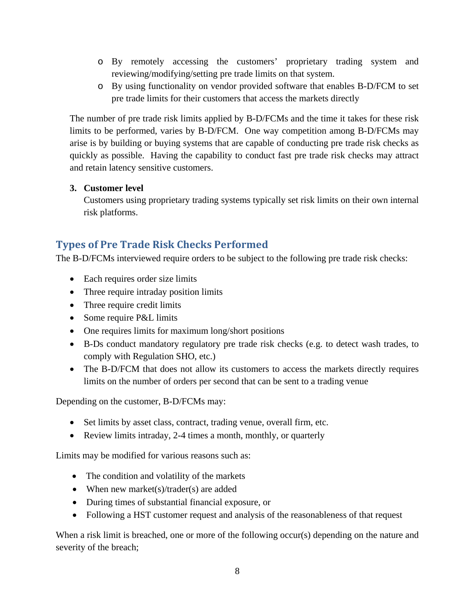- o By remotely accessing the customers' proprietary trading system and reviewing/modifying/setting pre trade limits on that system.
- o By using functionality on vendor provided software that enables B-D/FCM to set pre trade limits for their customers that access the markets directly

The number of pre trade risk limits applied by B-D/FCMs and the time it takes for these risk limits to be performed, varies by B-D/FCM. One way competition among B-D/FCMs may arise is by building or buying systems that are capable of conducting pre trade risk checks as quickly as possible. Having the capability to conduct fast pre trade risk checks may attract and retain latency sensitive customers.

#### **3. Customer level**

Customers using proprietary trading systems typically set risk limits on their own internal risk platforms.

## <span id="page-7-0"></span>**Types of Pre Trade Risk Checks Performed**

The B-D/FCMs interviewed require orders to be subject to the following pre trade risk checks:

- Each requires order size limits
- Three require intraday position limits
- Three require credit limits
- Some require P&L limits
- One requires limits for maximum long/short positions
- B-Ds conduct mandatory regulatory pre trade risk checks (e.g. to detect wash trades, to comply with Regulation SHO, etc.)
- The B-D/FCM that does not allow its customers to access the markets directly requires limits on the number of orders per second that can be sent to a trading venue

Depending on the customer, B-D/FCMs may:

- Set limits by asset class, contract, trading venue, overall firm, etc.
- Review limits intraday, 2-4 times a month, monthly, or quarterly

Limits may be modified for various reasons such as:

- The condition and volatility of the markets
- When new market(s)/trader(s) are added
- During times of substantial financial exposure, or
- Following a HST customer request and analysis of the reasonableness of that request

When a risk limit is breached, one or more of the following occur(s) depending on the nature and severity of the breach;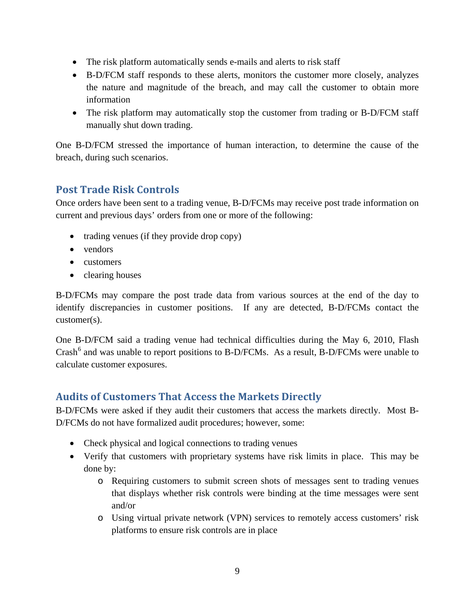- The risk platform automatically sends e-mails and alerts to risk staff
- B-D/FCM staff responds to these alerts, monitors the customer more closely, analyzes the nature and magnitude of the breach, and may call the customer to obtain more information
- The risk platform may automatically stop the customer from trading or B-D/FCM staff manually shut down trading.

One B-D/FCM stressed the importance of human interaction, to determine the cause of the breach, during such scenarios.

### <span id="page-8-0"></span>**Post Trade Risk Controls**

Once orders have been sent to a trading venue, B-D/FCMs may receive post trade information on current and previous days' orders from one or more of the following:

- trading venues (if they provide drop copy)
- vendors
- customers
- clearing houses

B-D/FCMs may compare the post trade data from various sources at the end of the day to identify discrepancies in customer positions. If any are detected, B-D/FCMs contact the customer(s).

One B-D/FCM said a trading venue had technical difficulties during the May 6, 2010, Flash  $Crash<sup>6</sup>$  $Crash<sup>6</sup>$  $Crash<sup>6</sup>$  and was unable to report positions to B-D/FCMs. As a result, B-D/FCMs were unable to calculate customer exposures.

## <span id="page-8-1"></span>**Audits of Customers That Access the Markets Directly**

B-D/FCMs were asked if they audit their customers that access the markets directly. Most B-D/FCMs do not have formalized audit procedures; however, some:

- Check physical and logical connections to trading venues
- Verify that customers with proprietary systems have risk limits in place. This may be done by:
	- o Requiring customers to submit screen shots of messages sent to trading venues that displays whether risk controls were binding at the time messages were sent and/or
	- o Using virtual private network (VPN) services to remotely access customers' risk platforms to ensure risk controls are in place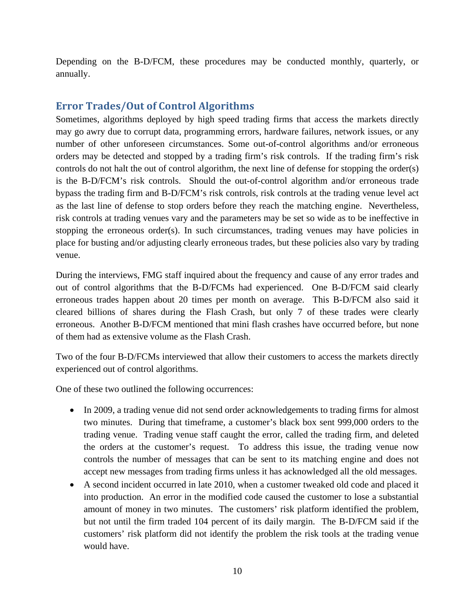Depending on the B-D/FCM, these procedures may be conducted monthly, quarterly, or annually.

### <span id="page-9-0"></span>**Error Trades/Out of Control Algorithms**

Sometimes, algorithms deployed by high speed trading firms that access the markets directly may go awry due to corrupt data, programming errors, hardware failures, network issues, or any number of other unforeseen circumstances. Some out-of-control algorithms and/or erroneous orders may be detected and stopped by a trading firm's risk controls. If the trading firm's risk controls do not halt the out of control algorithm, the next line of defense for stopping the order(s) is the B-D/FCM's risk controls. Should the out-of-control algorithm and/or erroneous trade bypass the trading firm and B-D/FCM's risk controls, risk controls at the trading venue level act as the last line of defense to stop orders before they reach the matching engine. Nevertheless, risk controls at trading venues vary and the parameters may be set so wide as to be ineffective in stopping the erroneous order(s). In such circumstances, trading venues may have policies in place for busting and/or adjusting clearly erroneous trades, but these policies also vary by trading venue.

During the interviews, FMG staff inquired about the frequency and cause of any error trades and out of control algorithms that the B-D/FCMs had experienced. One B-D/FCM said clearly erroneous trades happen about 20 times per month on average. This B-D/FCM also said it cleared billions of shares during the Flash Crash, but only 7 of these trades were clearly erroneous. Another B-D/FCM mentioned that mini flash crashes have occurred before, but none of them had as extensive volume as the Flash Crash.

Two of the four B-D/FCMs interviewed that allow their customers to access the markets directly experienced out of control algorithms.

One of these two outlined the following occurrences:

- In 2009, a trading venue did not send order acknowledgements to trading firms for almost two minutes. During that timeframe, a customer's black box sent 999,000 orders to the trading venue. Trading venue staff caught the error, called the trading firm, and deleted the orders at the customer's request. To address this issue, the trading venue now controls the number of messages that can be sent to its matching engine and does not accept new messages from trading firms unless it has acknowledged all the old messages.
- A second incident occurred in late 2010, when a customer tweaked old code and placed it into production. An error in the modified code caused the customer to lose a substantial amount of money in two minutes. The customers' risk platform identified the problem, but not until the firm traded 104 percent of its daily margin. The B-D/FCM said if the customers' risk platform did not identify the problem the risk tools at the trading venue would have.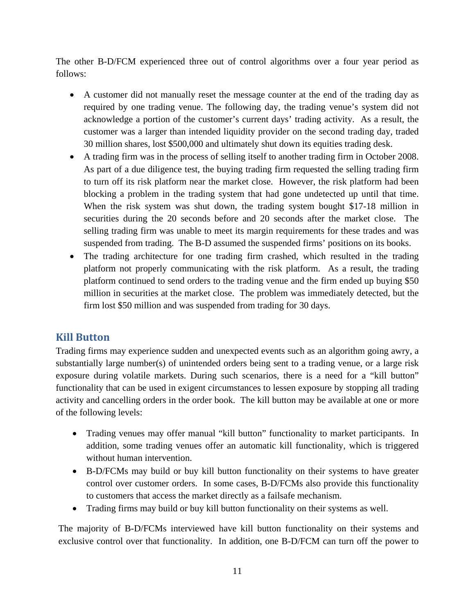The other B-D/FCM experienced three out of control algorithms over a four year period as follows:

- A customer did not manually reset the message counter at the end of the trading day as required by one trading venue. The following day, the trading venue's system did not acknowledge a portion of the customer's current days' trading activity. As a result, the customer was a larger than intended liquidity provider on the second trading day, traded 30 million shares, lost \$500,000 and ultimately shut down its equities trading desk.
- A trading firm was in the process of selling itself to another trading firm in October 2008. As part of a due diligence test, the buying trading firm requested the selling trading firm to turn off its risk platform near the market close. However, the risk platform had been blocking a problem in the trading system that had gone undetected up until that time. When the risk system was shut down, the trading system bought \$17-18 million in securities during the 20 seconds before and 20 seconds after the market close. The selling trading firm was unable to meet its margin requirements for these trades and was suspended from trading. The B-D assumed the suspended firms' positions on its books.
- The trading architecture for one trading firm crashed, which resulted in the trading platform not properly communicating with the risk platform. As a result, the trading platform continued to send orders to the trading venue and the firm ended up buying \$50 million in securities at the market close. The problem was immediately detected, but the firm lost \$50 million and was suspended from trading for 30 days.

### <span id="page-10-0"></span>**Kill Button**

Trading firms may experience sudden and unexpected events such as an algorithm going awry, a substantially large number(s) of unintended orders being sent to a trading venue, or a large risk exposure during volatile markets. During such scenarios, there is a need for a "kill button" functionality that can be used in exigent circumstances to lessen exposure by stopping all trading activity and cancelling orders in the order book. The kill button may be available at one or more of the following levels:

- Trading venues may offer manual "kill button" functionality to market participants. In addition, some trading venues offer an automatic kill functionality, which is triggered without human intervention.
- B-D/FCMs may build or buy kill button functionality on their systems to have greater control over customer orders. In some cases, B-D/FCMs also provide this functionality to customers that access the market directly as a failsafe mechanism.
- Trading firms may build or buy kill button functionality on their systems as well.

The majority of B-D/FCMs interviewed have kill button functionality on their systems and exclusive control over that functionality. In addition, one B-D/FCM can turn off the power to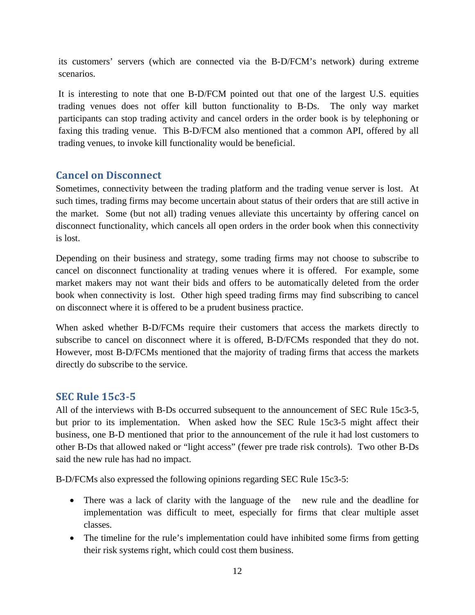its customers' servers (which are connected via the B-D/FCM's network) during extreme scenarios.

It is interesting to note that one B-D/FCM pointed out that one of the largest U.S. equities trading venues does not offer kill button functionality to B-Ds. The only way market participants can stop trading activity and cancel orders in the order book is by telephoning or faxing this trading venue. This B-D/FCM also mentioned that a common API, offered by all trading venues, to invoke kill functionality would be beneficial.

#### <span id="page-11-0"></span>**Cancel on Disconnect**

Sometimes, connectivity between the trading platform and the trading venue server is lost. At such times, trading firms may become uncertain about status of their orders that are still active in the market. Some (but not all) trading venues alleviate this uncertainty by offering cancel on disconnect functionality, which cancels all open orders in the order book when this connectivity is lost.

Depending on their business and strategy, some trading firms may not choose to subscribe to cancel on disconnect functionality at trading venues where it is offered. For example, some market makers may not want their bids and offers to be automatically deleted from the order book when connectivity is lost. Other high speed trading firms may find subscribing to cancel on disconnect where it is offered to be a prudent business practice.

When asked whether B-D/FCMs require their customers that access the markets directly to subscribe to cancel on disconnect where it is offered, B-D/FCMs responded that they do not. However, most B-D/FCMs mentioned that the majority of trading firms that access the markets directly do subscribe to the service.

#### <span id="page-11-1"></span>**SEC Rule 15c3-5**

All of the interviews with B-Ds occurred subsequent to the announcement of SEC Rule 15c3-5, but prior to its implementation. When asked how the SEC Rule 15c3-5 might affect their business, one B-D mentioned that prior to the announcement of the rule it had lost customers to other B-Ds that allowed naked or "light access" (fewer pre trade risk controls). Two other B-Ds said the new rule has had no impact.

B-D/FCMs also expressed the following opinions regarding SEC Rule 15c3-5:

- There was a lack of clarity with the language of the new rule and the deadline for implementation was difficult to meet, especially for firms that clear multiple asset classes.
- The timeline for the rule's implementation could have inhibited some firms from getting their risk systems right, which could cost them business.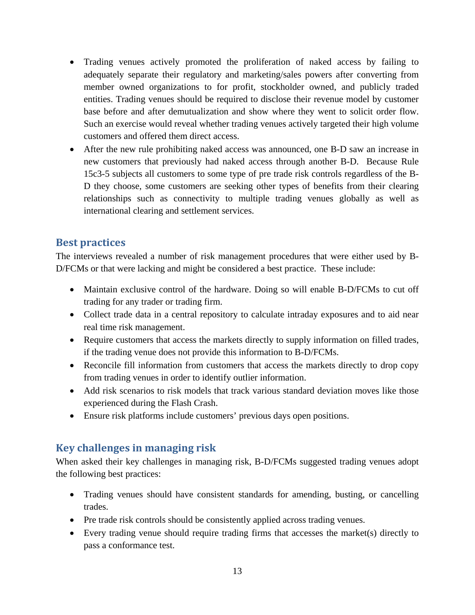- Trading venues actively promoted the proliferation of naked access by failing to adequately separate their regulatory and marketing/sales powers after converting from member owned organizations to for profit, stockholder owned, and publicly traded entities. Trading venues should be required to disclose their revenue model by customer base before and after demutualization and show where they went to solicit order flow. Such an exercise would reveal whether trading venues actively targeted their high volume customers and offered them direct access.
- After the new rule prohibiting naked access was announced, one B-D saw an increase in new customers that previously had naked access through another B-D. Because Rule 15c3-5 subjects all customers to some type of pre trade risk controls regardless of the B-D they choose, some customers are seeking other types of benefits from their clearing relationships such as connectivity to multiple trading venues globally as well as international clearing and settlement services.

#### <span id="page-12-0"></span>**Best practices**

The interviews revealed a number of risk management procedures that were either used by B-D/FCMs or that were lacking and might be considered a best practice. These include:

- Maintain exclusive control of the hardware. Doing so will enable B-D/FCMs to cut off trading for any trader or trading firm.
- Collect trade data in a central repository to calculate intraday exposures and to aid near real time risk management.
- Require customers that access the markets directly to supply information on filled trades, if the trading venue does not provide this information to B-D/FCMs.
- Reconcile fill information from customers that access the markets directly to drop copy from trading venues in order to identify outlier information.
- Add risk scenarios to risk models that track various standard deviation moves like those experienced during the Flash Crash.
- Ensure risk platforms include customers' previous days open positions.

### <span id="page-12-1"></span>**Key challenges in managing risk**

When asked their key challenges in managing risk, B-D/FCMs suggested trading venues adopt the following best practices:

- Trading venues should have consistent standards for amending, busting, or cancelling trades.
- Pre trade risk controls should be consistently applied across trading venues.
- Every trading venue should require trading firms that accesses the market(s) directly to pass a conformance test.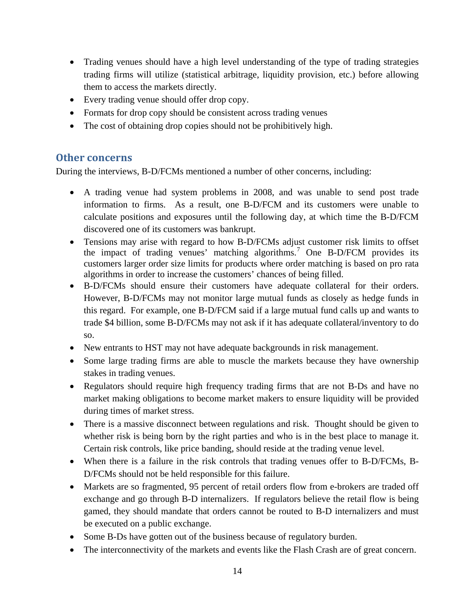- Trading venues should have a high level understanding of the type of trading strategies trading firms will utilize (statistical arbitrage, liquidity provision, etc.) before allowing them to access the markets directly.
- Every trading venue should offer drop copy.
- Formats for drop copy should be consistent across trading venues
- The cost of obtaining drop copies should not be prohibitively high.

#### <span id="page-13-0"></span>**Other concerns**

During the interviews, B-D/FCMs mentioned a number of other concerns, including:

- A trading venue had system problems in 2008, and was unable to send post trade information to firms. As a result, one B-D/FCM and its customers were unable to calculate positions and exposures until the following day, at which time the B-D/FCM discovered one of its customers was bankrupt.
- Tensions may arise with regard to how B-D/FCMs adjust customer risk limits to offset the impact of trading venues' matching algorithms. [7](#page-19-6) One B-D/FCM provides its customers larger order size limits for products where order matching is based on pro rata algorithms in order to increase the customers' chances of being filled.
- B-D/FCMs should ensure their customers have adequate collateral for their orders. However, B-D/FCMs may not monitor large mutual funds as closely as hedge funds in this regard. For example, one B-D/FCM said if a large mutual fund calls up and wants to trade \$4 billion, some B-D/FCMs may not ask if it has adequate collateral/inventory to do so.
- New entrants to HST may not have adequate backgrounds in risk management.
- Some large trading firms are able to muscle the markets because they have ownership stakes in trading venues.
- Regulators should require high frequency trading firms that are not B-Ds and have no market making obligations to become market makers to ensure liquidity will be provided during times of market stress.
- There is a massive disconnect between regulations and risk. Thought should be given to whether risk is being born by the right parties and who is in the best place to manage it. Certain risk controls, like price banding, should reside at the trading venue level.
- When there is a failure in the risk controls that trading venues offer to B-D/FCMs, B-D/FCMs should not be held responsible for this failure.
- Markets are so fragmented, 95 percent of retail orders flow from e-brokers are traded off exchange and go through B-D internalizers. If regulators believe the retail flow is being gamed, they should mandate that orders cannot be routed to B-D internalizers and must be executed on a public exchange.
- Some B-Ds have gotten out of the business because of regulatory burden.
- The interconnectivity of the markets and events like the Flash Crash are of great concern.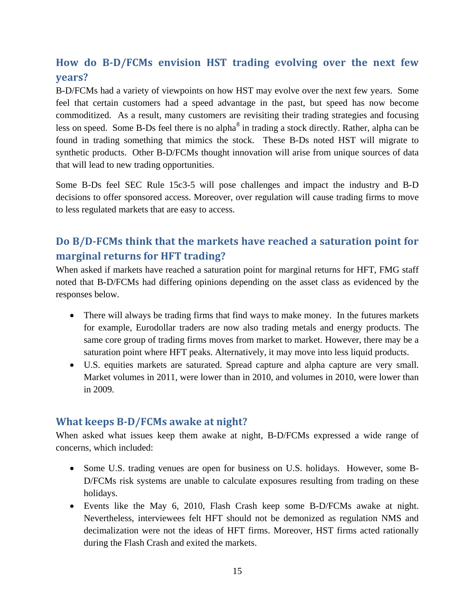## <span id="page-14-0"></span>**How do B-D/FCMs envision HST trading evolving over the next few years?**

B-D/FCMs had a variety of viewpoints on how HST may evolve over the next few years. Some feel that certain customers had a speed advantage in the past, but speed has now become commoditized. As a result, many customers are revisiting their trading strategies and focusing less on speed. Some B-Ds feel there is no alpha<sup>[8](#page-19-7)</sup> in trading a stock directly. Rather, alpha can be found in trading something that mimics the stock. These B-Ds noted HST will migrate to synthetic products. Other B-D/FCMs thought innovation will arise from unique sources of data that will lead to new trading opportunities.

Some B-Ds feel SEC Rule 15c3-5 will pose challenges and impact the industry and B-D decisions to offer sponsored access. Moreover, over regulation will cause trading firms to move to less regulated markets that are easy to access.

## <span id="page-14-1"></span>**Do B/D-FCMs think that the markets have reached a saturation point for marginal returns for HFT trading?**

When asked if markets have reached a saturation point for marginal returns for HFT, FMG staff noted that B-D/FCMs had differing opinions depending on the asset class as evidenced by the responses below.

- There will always be trading firms that find ways to make money. In the futures markets for example, Eurodollar traders are now also trading metals and energy products. The same core group of trading firms moves from market to market. However, there may be a saturation point where HFT peaks. Alternatively, it may move into less liquid products.
- U.S. equities markets are saturated. Spread capture and alpha capture are very small. Market volumes in 2011, were lower than in 2010, and volumes in 2010, were lower than in 2009.

#### <span id="page-14-2"></span>**What keeps B-D/FCMs awake at night?**

When asked what issues keep them awake at night, B-D/FCMs expressed a wide range of concerns, which included:

- Some U.S. trading venues are open for business on U.S. holidays. However, some B-D/FCMs risk systems are unable to calculate exposures resulting from trading on these holidays.
- Events like the May 6, 2010, Flash Crash keep some B-D/FCMs awake at night. Nevertheless, interviewees felt HFT should not be demonized as regulation NMS and decimalization were not the ideas of HFT firms. Moreover, HST firms acted rationally during the Flash Crash and exited the markets.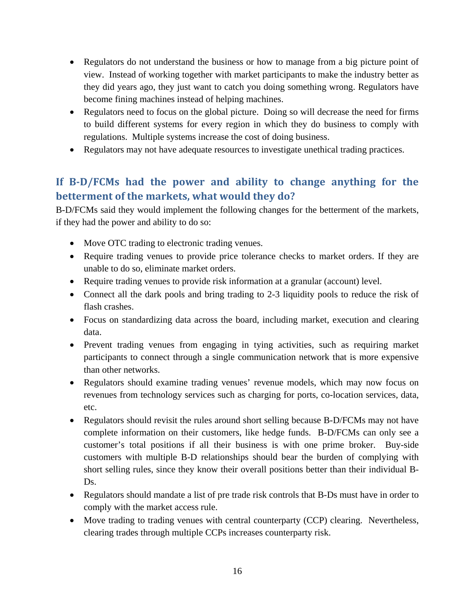- Regulators do not understand the business or how to manage from a big picture point of view. Instead of working together with market participants to make the industry better as they did years ago, they just want to catch you doing something wrong. Regulators have become fining machines instead of helping machines.
- Regulators need to focus on the global picture. Doing so will decrease the need for firms to build different systems for every region in which they do business to comply with regulations. Multiple systems increase the cost of doing business.
- Regulators may not have adequate resources to investigate unethical trading practices.

## <span id="page-15-0"></span>**If B-D/FCMs had the power and ability to change anything for the betterment of the markets, what would they do?**

B-D/FCMs said they would implement the following changes for the betterment of the markets, if they had the power and ability to do so:

- Move OTC trading to electronic trading venues.
- Require trading venues to provide price tolerance checks to market orders. If they are unable to do so, eliminate market orders.
- Require trading venues to provide risk information at a granular (account) level.
- Connect all the dark pools and bring trading to 2-3 liquidity pools to reduce the risk of flash crashes.
- Focus on standardizing data across the board, including market, execution and clearing data.
- Prevent trading venues from engaging in tying activities, such as requiring market participants to connect through a single communication network that is more expensive than other networks.
- Regulators should examine trading venues' revenue models, which may now focus on revenues from technology services such as charging for ports, co-location services, data, etc.
- Regulators should revisit the rules around short selling because B-D/FCMs may not have complete information on their customers, like hedge funds. B-D/FCMs can only see a customer's total positions if all their business is with one prime broker. Buy-side customers with multiple B-D relationships should bear the burden of complying with short selling rules, since they know their overall positions better than their individual B-Ds.
- Regulators should mandate a list of pre trade risk controls that B-Ds must have in order to comply with the market access rule.
- Move trading to trading venues with central counterparty (CCP) clearing. Nevertheless, clearing trades through multiple CCPs increases counterparty risk.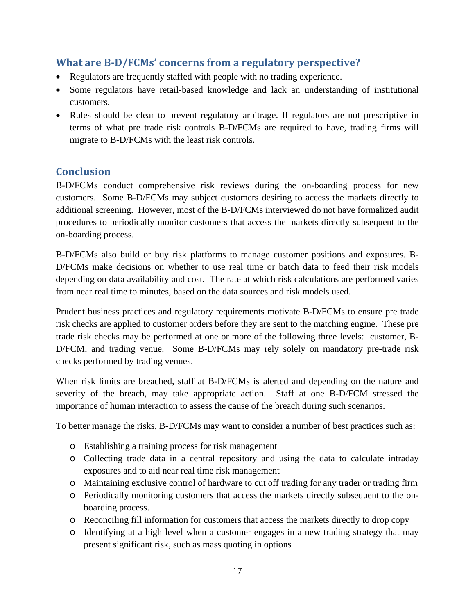### <span id="page-16-0"></span>**What are B-D/FCMs' concerns from a regulatory perspective?**

- Regulators are frequently staffed with people with no trading experience.
- Some regulators have retail-based knowledge and lack an understanding of institutional customers.
- Rules should be clear to prevent regulatory arbitrage. If regulators are not prescriptive in terms of what pre trade risk controls B-D/FCMs are required to have, trading firms will migrate to B-D/FCMs with the least risk controls.

#### <span id="page-16-1"></span>**Conclusion**

B-D/FCMs conduct comprehensive risk reviews during the on-boarding process for new customers. Some B-D/FCMs may subject customers desiring to access the markets directly to additional screening. However, most of the B-D/FCMs interviewed do not have formalized audit procedures to periodically monitor customers that access the markets directly subsequent to the on-boarding process.

B-D/FCMs also build or buy risk platforms to manage customer positions and exposures. B-D/FCMs make decisions on whether to use real time or batch data to feed their risk models depending on data availability and cost. The rate at which risk calculations are performed varies from near real time to minutes, based on the data sources and risk models used.

Prudent business practices and regulatory requirements motivate B-D/FCMs to ensure pre trade risk checks are applied to customer orders before they are sent to the matching engine. These pre trade risk checks may be performed at one or more of the following three levels: customer, B-D/FCM, and trading venue. Some B-D/FCMs may rely solely on mandatory pre-trade risk checks performed by trading venues.

When risk limits are breached, staff at B-D/FCMs is alerted and depending on the nature and severity of the breach, may take appropriate action. Staff at one B-D/FCM stressed the importance of human interaction to assess the cause of the breach during such scenarios.

To better manage the risks, B-D/FCMs may want to consider a number of best practices such as:

- o Establishing a training process for risk management
- o Collecting trade data in a central repository and using the data to calculate intraday exposures and to aid near real time risk management
- o Maintaining exclusive control of hardware to cut off trading for any trader or trading firm
- o Periodically monitoring customers that access the markets directly subsequent to the onboarding process.
- o Reconciling fill information for customers that access the markets directly to drop copy
- o Identifying at a high level when a customer engages in a new trading strategy that may present significant risk, such as mass quoting in options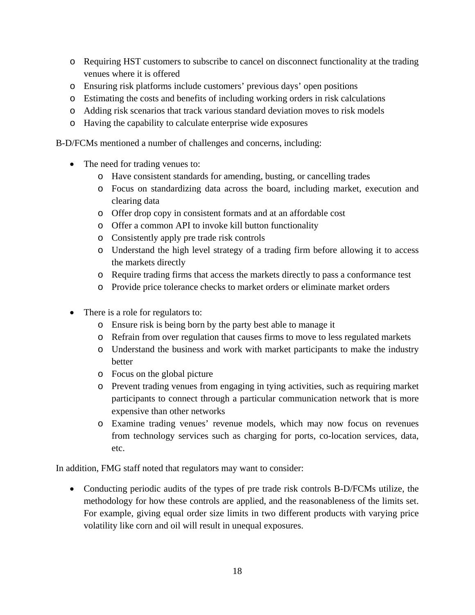- o Requiring HST customers to subscribe to cancel on disconnect functionality at the trading venues where it is offered
- o Ensuring risk platforms include customers' previous days' open positions
- o Estimating the costs and benefits of including working orders in risk calculations
- o Adding risk scenarios that track various standard deviation moves to risk models
- o Having the capability to calculate enterprise wide exposures

B-D/FCMs mentioned a number of challenges and concerns, including:

- The need for trading venues to:
	- o Have consistent standards for amending, busting, or cancelling trades
	- o Focus on standardizing data across the board, including market, execution and clearing data
	- o Offer drop copy in consistent formats and at an affordable cost
	- o Offer a common API to invoke kill button functionality
	- o Consistently apply pre trade risk controls
	- o Understand the high level strategy of a trading firm before allowing it to access the markets directly
	- o Require trading firms that access the markets directly to pass a conformance test
	- o Provide price tolerance checks to market orders or eliminate market orders
- There is a role for regulators to:
	- o Ensure risk is being born by the party best able to manage it
	- o Refrain from over regulation that causes firms to move to less regulated markets
	- o Understand the business and work with market participants to make the industry better
	- o Focus on the global picture
	- o Prevent trading venues from engaging in tying activities, such as requiring market participants to connect through a particular communication network that is more expensive than other networks
	- o Examine trading venues' revenue models, which may now focus on revenues from technology services such as charging for ports, co-location services, data, etc.

In addition, FMG staff noted that regulators may want to consider:

• Conducting periodic audits of the types of pre trade risk controls B-D/FCMs utilize, the methodology for how these controls are applied, and the reasonableness of the limits set. For example, giving equal order size limits in two different products with varying price volatility like corn and oil will result in unequal exposures.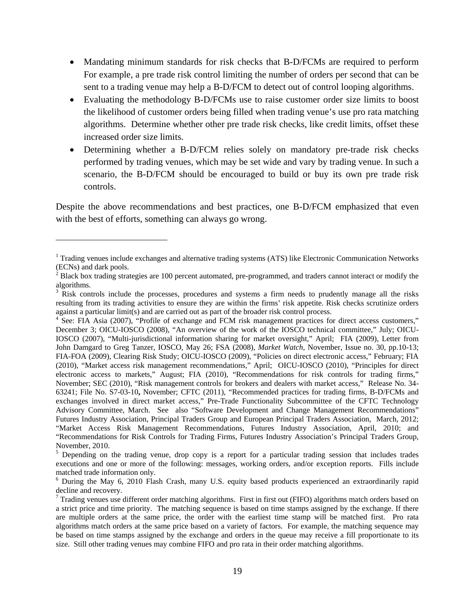- Mandating minimum standards for risk checks that B-D/FCMs are required to perform For example, a pre trade risk control limiting the number of orders per second that can be sent to a trading venue may help a B-D/FCM to detect out of control looping algorithms.
- Evaluating the methodology B-D/FCMs use to raise customer order size limits to boost the likelihood of customer orders being filled when trading venue's use pro rata matching algorithms. Determine whether other pre trade risk checks, like credit limits, offset these increased order size limits.
- Determining whether a B-D/FCM relies solely on mandatory pre-trade risk checks performed by trading venues, which may be set wide and vary by trading venue. In such a scenario, the B-D/FCM should be encouraged to build or buy its own pre trade risk controls.

Despite the above recommendations and best practices, one B-D/FCM emphasized that even with the best of efforts, something can always go wrong.

 $\overline{a}$ 

<sup>&</sup>lt;sup>1</sup> Trading venues include exchanges and alternative trading systems (ATS) like Electronic Communication Networks (ECNs) and dark pools.

<sup>&</sup>lt;sup>2</sup> Black box trading strategies are 100 percent automated, pre-programmed, and traders cannot interact or modify the algorithms.

<sup>&</sup>lt;sup>3</sup> Risk controls include the processes, procedures and systems a firm needs to prudently manage all the risks resulting from its trading activities to ensure they are within the firms' risk appetite. Risk checks scrutinize orders against a particular limit(s) and are carried out as part of the broader risk control process.

<sup>&</sup>lt;sup>4</sup> See: FIA Asia (2007), "Profile of exchange and FCM risk management practices for direct access customers," December 3; OICU-IOSCO (2008), "An overview of the work of the IOSCO technical committee," July; OICU-IOSCO (2007), "Multi-jurisdictional information sharing for market oversight," April; FIA (2009), Letter from John Damgard to Greg Tanzer, IOSCO, May 26; FSA (2008), *Market Watch,* November, Issue no. 30, pp.10-13; FIA-FOA (2009), Clearing Risk Study; OICU-IOSCO (2009), "Policies on direct electronic access," February; FIA (2010), "Market access risk management recommendations," April; OICU-IOSCO (2010), "Principles for direct electronic access to markets," August; FIA (2010), "Recommendations for risk controls for trading firms," November; SEC (2010), "Risk management controls for brokers and dealers with market access," Release No. 34- 63241; File No. S7-03-10**,** November; CFTC (2011), "Recommended practices for trading firms, B-D/FCMs and exchanges involved in direct market access," Pre-Trade Functionality Subcommittee of the CFTC Technology Advisory Committee, March. See also "Software Development and Change Management Recommendations" Futures Industry Association, Principal Traders Group and European Principal Traders Association, March, 2012; "Market Access Risk Management Recommendations, Futures Industry Association, April, 2010; and "Recommendations for Risk Controls for Trading Firms, Futures Industry Association's Principal Traders Group, November, 2010.

<sup>&</sup>lt;sup>5</sup> Depending on the trading venue, drop copy is a report for a particular trading session that includes trades executions and one or more of the following: messages, working orders, and/or exception reports. Fills include matched trade information only.

<sup>6</sup> During the May 6, 2010 Flash Crash, many U.S. equity based products experienced an extraordinarily rapid decline and recovery.

 $7$  Trading venues use different order matching algorithms. First in first out (FIFO) algorithms match orders based on a strict price and time priority. The matching sequence is based on time stamps assigned by the exchange. If there are multiple orders at the same price, the order with the earliest time stamp will be matched first. Pro rata algorithms match orders at the same price based on a variety of factors. For example, the matching sequence may be based on time stamps assigned by the exchange and orders in the queue may receive a fill proportionate to its size. Still other trading venues may combine FIFO and pro rata in their order matching algorithms.